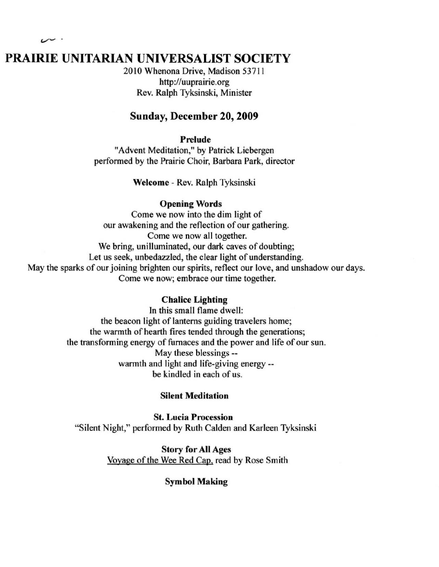# PRAIRIE UNITARIAN UNIVERSALIST SOCIETY

2010 Whenona Drive, Madison 53711 http://uuprairie.org Rev. Ralph Tyksinski, Minister

## Sunday, December 20, 2009

#### Prelude

"Advent Meditation," by Patrick Liebergen performed by the Prairie Choir, Barbara Park, director

Welcome - Rev. Ralph Tyksinski

#### Opening Words

Come we now into the dim light of our awakening and the reflection of our gathering. Come we now all together. We bring, unilluminated, our dark caves of doubting; Let us seek, unbedazzled, the clear light of understanding. May the sparks of our joining brighten our spirits, reflect our love, and unshadow our days. Come we now; embrace our time together.

#### Chalice Lighting

In this small flame dwell: the beacon light of lanterns guiding travelers home; the warmth of hearth fires tended through the generations; the transforming energy of furnaces and the power and life of our sun . May these blessings - warmth and light and life-giving energy- be kindled in each of us.

#### Silent Meditation

St. Lucia Procession "Silent Night," performed by Ruth Calden and Karleen Tyksinski

> Story for All Ages Voyage of the Wee Red Cap. read by Rose Smith

> > **Symbol Making**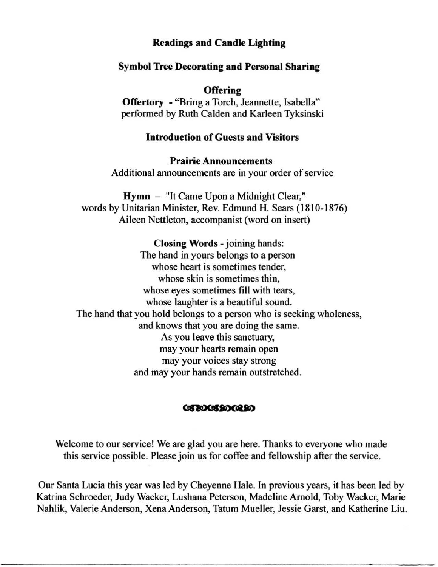## Readings and Candle Ligbting

## Symbol Tree Decorating and Personal Sbaring

**Offering** 

Offertory - "Bring a Torch, Jeannette, Isabella" performed by Ruth Calden and Karleen Tyksinski

## Introduction of Guests and Visitors

Prairie Announcements Additional announcements are in your order of service

Hymn - "It Came Upon a Midnight Clear," words by Unitarian Minister, Rev. Edmund H. Sears ( 1810-1876) Aileen Nettleton, accompanist (word on insert)

Closing Words - joining hands: The hand in yours belongs to a person whose heart is sometimes tender, whose skin is sometimes thin, whose eyes sometimes fill with tears, whose laughter is a beautiful sound. The hand that you hold belongs to a person who is seeking wholeness, and knows that you are doing the same. As you leave this sanctuary, may your hearts remain open may your voices stay strong and may your hands remain outstretched.

#### **CIBOCIBOGRBO**

Welcome to our service! We are glad you are here. Thanks to everyone who made this service possible. Please join us for coffee and fellowship after the service.

Our Santa Lucia this year was led by Cheyenne Hale. In previous years, it has been led by Katrina Schroeder, Judy Wacker, Lushana Peterson, Madeline Arnold, Toby Wacker, Marie Nahlik, Valerie Anderson, Xena Anderson, Tatum Mueller, Jessie Garst, and Katherine Liu.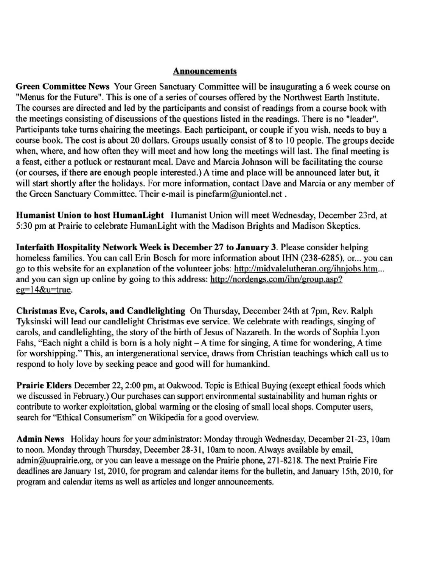#### **Announcements**

**Green Committee News Your Green Sanctuary Committee will be inaugurating a 6 week course on "Menus for the Future" . This is one of a series of courses offered by the Northwest Earth Institute.**  The courses are directed and led by the participants and consist of readings from a course book with **the meetings consisting of discussions** of the **questions listed in the readings. There is no "leader".**  Participants take turns chairing the meetings. Each participant, or couple if you wish, needs to buy a course book. The cost is about 20 dollars. Groups usually consist of 8 to 10 people. The groups decide when, where, and how often they will meet and how long the meetings will last. The final meeting is **a feast, either a potluck or restaurant meal. Dave and Marcia Johnson will be facilitating the course**  (or courses, if there are enough people interested.) A time and place will be announced later but, it will start shortly after the holidays. For more information, contact Dave and Marcia or any member of **the Green Sanctuary Committee. Their e-mail is pinefarm@uniontel.net .** 

Humanist Union to host HumanLight Humanist Union will meet Wednesday, December 23rd, at 5:30 pm at Prairie to celebrate HumanLight with the Madison Brights and Madison Skeptics.

Interfaith Hospitality Network Week is December 27 to January 3. Please consider helping homeless families. You can call Erin Bosch for more information about IHN (238-6285), or... you can go to this website for an explanation of the volunteer jobs: http://midvalelutheran.org/ihnjobs.htm... and you can sign up online by going to this address: http://nordengs.com/ihn/group.asp? eg=14&u=true.

Christmas Eve, Carols, and Candlelighting On Thursday, December 24th at 7pm, Rev. Ralph Tyksinski will lead our candlelight Christmas eve service. We celebrate with readings, singing of carols, and candlelighting, the story of the birth of Jesus of Nazareth. In the words of Sophia Lyon Fahs, "Each night a child is born is a holy night - A time for singing, A time for wondering, A time **for worshipping." This, an intergenerational service, draws from Christian teachings which call us to**  respond to holy love by seeking peace and good will for humankind.

Prairie Elders December 22, 2:00 pm, at Oakwood. Topic is Ethical Buying (except ethical foods which we discussed in February.) Our purchases can support environmental sustainability and human rights or contribute to worker exploitation, global warming or the closing of small local shops. Computer users, **search for "Ethical Consumerism" on Wikipedia for a good overview.** 

Admin News Holiday hours for your administrator: Monday through Wednesday, December 21-23, lOam to noon. Monday through Thursday, December 28-31, 10am to noon. Always available by email, admin@uuprairie.org, or you can leave a message on the Prairie phone, 271-8218. The next Prairie Fire deadlines are January 1st, 2010, for program and calendar items for the bulletin, and January 15th, 2010, for program and calendar items as well as articles and longer announcements.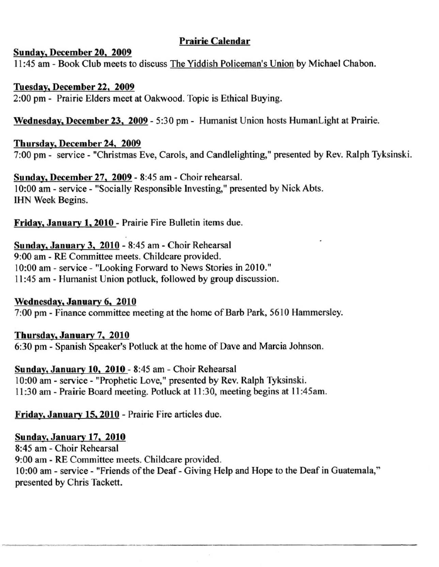# Prairie Calendar

## Sunday. December 20. 2009

11:45 am - Book Club meets to discuss The Yiddish Policeman's Union by Michael Chabon.

## Tuesday. December 22. 2009

2:00 pm - Prairie Elders meet at Oakwood. Topic is Ethical Buying.

Wednesday. December 23. 2009 - 5:30 pm - Humanist Union hosts HumanLight at Prairie.

# Thursday. December 24. 2009

7:00 pm - service - "Christmas Eve, Carols, and Candlelighting," presented by Rev. Ralph Tyksinski.

Sunday. December 27. 2009 - 8:45 am - Choir rehearsal. 10:00 am - service - "Socially Responsible Investing," presented by Nick Abts. IHN Week Begins.

Friday. January 1.2010 - Prairie Fire Bulletin items due.

# Sunday. January 3. 2010 - 8:45 am - Choir Rehearsal 9:00 am - RE Committee meets. Childcare provided. 10:00 am - service - "Looking Forward to News Stories in 2010." II :45 am - Humanist Union potluck, followed by group discussion.

Wednesday. January 6. 2010 7:00 pm - Finance committee meeting at the home of Barb Park, 5610 Hammersley.

# Thursday. January 7. 2010 6:30 pm - Spanish Speaker's Potluck at the home of Dave and Marcia Johnson.

Sunday. January 10. 2010 - 8:45 am - Choir Rehearsal 10:00 am - service - "Prophetic Love," presented by Rev. Ralph Tyksinski. II :30 am - Prairie Board meeting. Potluck at II :30, meeting begins at II :45am.

Friday. January 15.2010 - Prairie Fire articles due.

# Sunday. January 17. 2010

8:45 am - Choir Rehearsal 9:00 am - RE Committee meets. Childcare provided. 10:00 am - service - "Friends of the Deaf - Giving Help and Hope to the Deaf in Guatemala," presented by Chris Tackett.